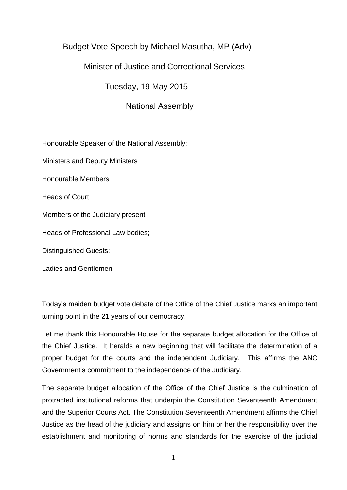# Budget Vote Speech by Michael Masutha, MP (Adv)

## Minister of Justice and Correctional Services

Tuesday, 19 May 2015

National Assembly

Honourable Speaker of the National Assembly;

Ministers and Deputy Ministers

Honourable Members

Heads of Court

Members of the Judiciary present

Heads of Professional Law bodies;

Distinguished Guests;

Ladies and Gentlemen

Today"s maiden budget vote debate of the Office of the Chief Justice marks an important turning point in the 21 years of our democracy.

Let me thank this Honourable House for the separate budget allocation for the Office of the Chief Justice. It heralds a new beginning that will facilitate the determination of a proper budget for the courts and the independent Judiciary. This affirms the ANC Government"s commitment to the independence of the Judiciary.

The separate budget allocation of the Office of the Chief Justice is the culmination of protracted institutional reforms that underpin the Constitution Seventeenth Amendment and the Superior Courts Act. The Constitution Seventeenth Amendment affirms the Chief Justice as the head of the judiciary and assigns on him or her the responsibility over the establishment and monitoring of norms and standards for the exercise of the judicial

1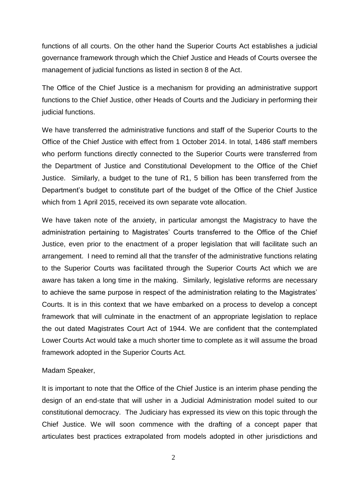functions of all courts. On the other hand the Superior Courts Act establishes a judicial governance framework through which the Chief Justice and Heads of Courts oversee the management of judicial functions as listed in section 8 of the Act.

The Office of the Chief Justice is a mechanism for providing an administrative support functions to the Chief Justice, other Heads of Courts and the Judiciary in performing their judicial functions.

We have transferred the administrative functions and staff of the Superior Courts to the Office of the Chief Justice with effect from 1 October 2014. In total, 1486 staff members who perform functions directly connected to the Superior Courts were transferred from the Department of Justice and Constitutional Development to the Office of the Chief Justice. Similarly, a budget to the tune of R1, 5 billion has been transferred from the Department"s budget to constitute part of the budget of the Office of the Chief Justice which from 1 April 2015, received its own separate vote allocation.

We have taken note of the anxiety, in particular amongst the Magistracy to have the administration pertaining to Magistrates" Courts transferred to the Office of the Chief Justice, even prior to the enactment of a proper legislation that will facilitate such an arrangement. I need to remind all that the transfer of the administrative functions relating to the Superior Courts was facilitated through the Superior Courts Act which we are aware has taken a long time in the making. Similarly, legislative reforms are necessary to achieve the same purpose in respect of the administration relating to the Magistrates" Courts. It is in this context that we have embarked on a process to develop a concept framework that will culminate in the enactment of an appropriate legislation to replace the out dated Magistrates Court Act of 1944. We are confident that the contemplated Lower Courts Act would take a much shorter time to complete as it will assume the broad framework adopted in the Superior Courts Act.

#### Madam Speaker,

It is important to note that the Office of the Chief Justice is an interim phase pending the design of an end-state that will usher in a Judicial Administration model suited to our constitutional democracy. The Judiciary has expressed its view on this topic through the Chief Justice. We will soon commence with the drafting of a concept paper that articulates best practices extrapolated from models adopted in other jurisdictions and

2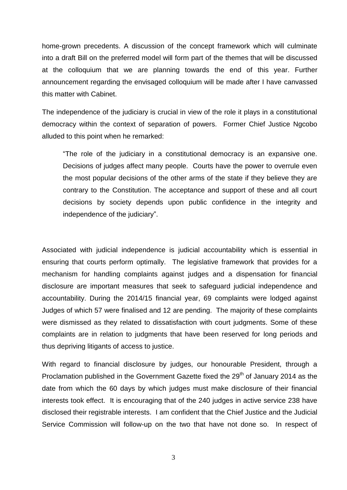home-grown precedents. A discussion of the concept framework which will culminate into a draft Bill on the preferred model will form part of the themes that will be discussed at the colloquium that we are planning towards the end of this year. Further announcement regarding the envisaged colloquium will be made after I have canvassed this matter with Cabinet.

The independence of the judiciary is crucial in view of the role it plays in a constitutional democracy within the context of separation of powers. Former Chief Justice Ngcobo alluded to this point when he remarked:

"The role of the judiciary in a constitutional democracy is an expansive one. Decisions of judges affect many people. Courts have the power to overrule even the most popular decisions of the other arms of the state if they believe they are contrary to the Constitution. The acceptance and support of these and all court decisions by society depends upon public confidence in the integrity and independence of the judiciary".

Associated with judicial independence is judicial accountability which is essential in ensuring that courts perform optimally. The legislative framework that provides for a mechanism for handling complaints against judges and a dispensation for financial disclosure are important measures that seek to safeguard judicial independence and accountability. During the 2014/15 financial year, 69 complaints were lodged against Judges of which 57 were finalised and 12 are pending. The majority of these complaints were dismissed as they related to dissatisfaction with court judgments. Some of these complaints are in relation to judgments that have been reserved for long periods and thus depriving litigants of access to justice.

With regard to financial disclosure by judges, our honourable President, through a Proclamation published in the Government Gazette fixed the 29<sup>th</sup> of January 2014 as the date from which the 60 days by which judges must make disclosure of their financial interests took effect. It is encouraging that of the 240 judges in active service 238 have disclosed their registrable interests. I am confident that the Chief Justice and the Judicial Service Commission will follow-up on the two that have not done so. In respect of

3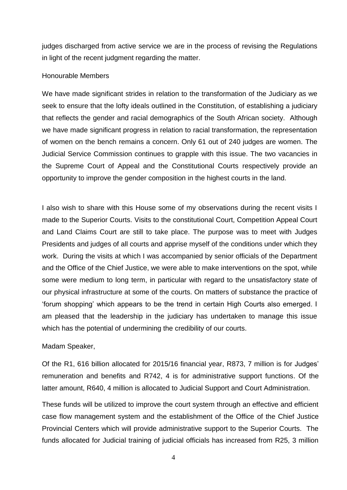judges discharged from active service we are in the process of revising the Regulations in light of the recent judgment regarding the matter.

### Honourable Members

We have made significant strides in relation to the transformation of the Judiciary as we seek to ensure that the lofty ideals outlined in the Constitution, of establishing a judiciary that reflects the gender and racial demographics of the South African society. Although we have made significant progress in relation to racial transformation, the representation of women on the bench remains a concern. Only 61 out of 240 judges are women. The Judicial Service Commission continues to grapple with this issue. The two vacancies in the Supreme Court of Appeal and the Constitutional Courts respectively provide an opportunity to improve the gender composition in the highest courts in the land.

I also wish to share with this House some of my observations during the recent visits I made to the Superior Courts. Visits to the constitutional Court, Competition Appeal Court and Land Claims Court are still to take place. The purpose was to meet with Judges Presidents and judges of all courts and apprise myself of the conditions under which they work. During the visits at which I was accompanied by senior officials of the Department and the Office of the Chief Justice, we were able to make interventions on the spot, while some were medium to long term, in particular with regard to the unsatisfactory state of our physical infrastructure at some of the courts. On matters of substance the practice of "forum shopping" which appears to be the trend in certain High Courts also emerged. I am pleased that the leadership in the judiciary has undertaken to manage this issue which has the potential of undermining the credibility of our courts.

### Madam Speaker,

Of the R1, 616 billion allocated for 2015/16 financial year, R873, 7 million is for Judges" remuneration and benefits and R742, 4 is for administrative support functions. Of the latter amount, R640, 4 million is allocated to Judicial Support and Court Administration.

These funds will be utilized to improve the court system through an effective and efficient case flow management system and the establishment of the Office of the Chief Justice Provincial Centers which will provide administrative support to the Superior Courts. The funds allocated for Judicial training of judicial officials has increased from R25, 3 million